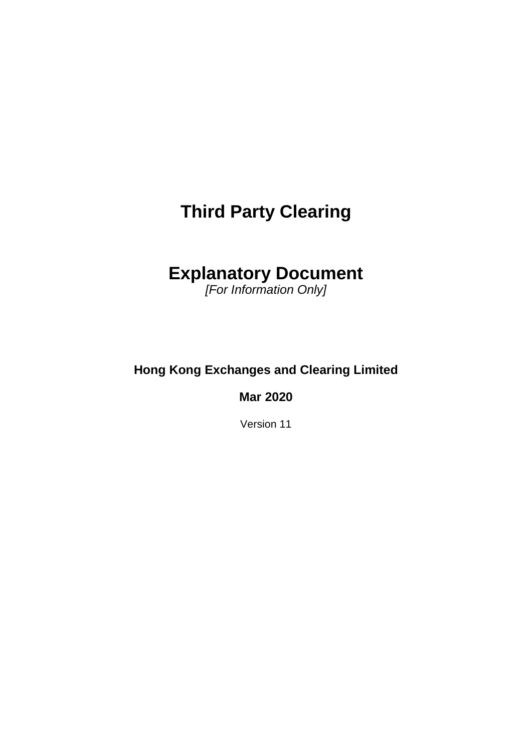# **Third Party Clearing**

# **Explanatory Document**

*[For Information Only]*

## **Hong Kong Exchanges and Clearing Limited**

**Mar 2020**

Version 11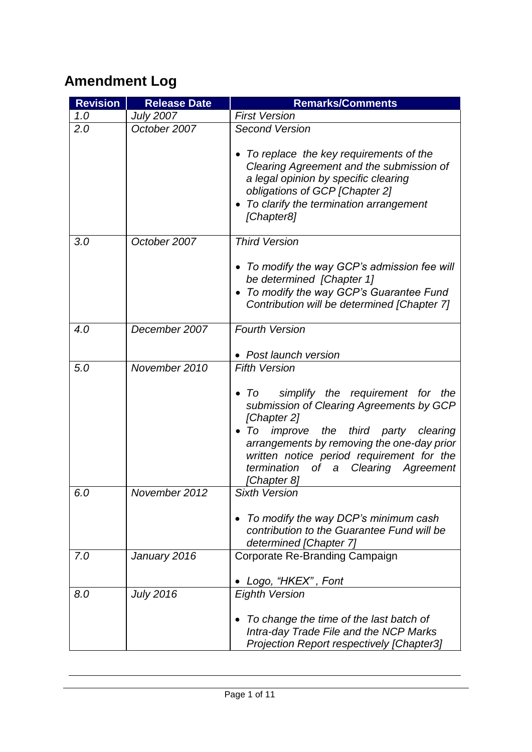# **Amendment Log**

| <b>Revision</b> | <b>Release Date</b> | <b>Remarks/Comments</b>                                                                                                                                                                                                                                                                                           |
|-----------------|---------------------|-------------------------------------------------------------------------------------------------------------------------------------------------------------------------------------------------------------------------------------------------------------------------------------------------------------------|
| 1.0             | <b>July 2007</b>    | <b>First Version</b>                                                                                                                                                                                                                                                                                              |
| 2.0             | October 2007        | <b>Second Version</b>                                                                                                                                                                                                                                                                                             |
|                 |                     | To replace the key requirements of the<br>Clearing Agreement and the submission of<br>a legal opinion by specific clearing<br>obligations of GCP [Chapter 2]<br>To clarify the termination arrangement<br>[Chapter8]                                                                                              |
| 3.0             | October 2007        | <b>Third Version</b>                                                                                                                                                                                                                                                                                              |
|                 |                     | • To modify the way GCP's admission fee will<br>be determined [Chapter 1]<br>To modify the way GCP's Guarantee Fund<br>Contribution will be determined [Chapter 7]                                                                                                                                                |
| 4.0             | December 2007       | <b>Fourth Version</b>                                                                                                                                                                                                                                                                                             |
|                 |                     | • Post launch version                                                                                                                                                                                                                                                                                             |
| 5.0             | November 2010       | <b>Fifth Version</b><br>simplify the requirement for the<br>To<br>submission of Clearing Agreements by GCP<br>[Chapter 2]<br>To improve the third party clearing<br>arrangements by removing the one-day prior<br>written notice period requirement for the<br>termination of a Clearing Agreement<br>[Chapter 8] |
| 6.0             | November 2012       | Sixth Version<br>To modify the way DCP's minimum cash<br>contribution to the Guarantee Fund will be<br>determined [Chapter 7]                                                                                                                                                                                     |
| 7.0             | January 2016        | Corporate Re-Branding Campaign                                                                                                                                                                                                                                                                                    |
|                 |                     | Logo, "HKEX", Font                                                                                                                                                                                                                                                                                                |
| 8.0             | <b>July 2016</b>    | <b>Eighth Version</b><br>To change the time of the last batch of<br>Intra-day Trade File and the NCP Marks<br>Projection Report respectively [Chapter3]                                                                                                                                                           |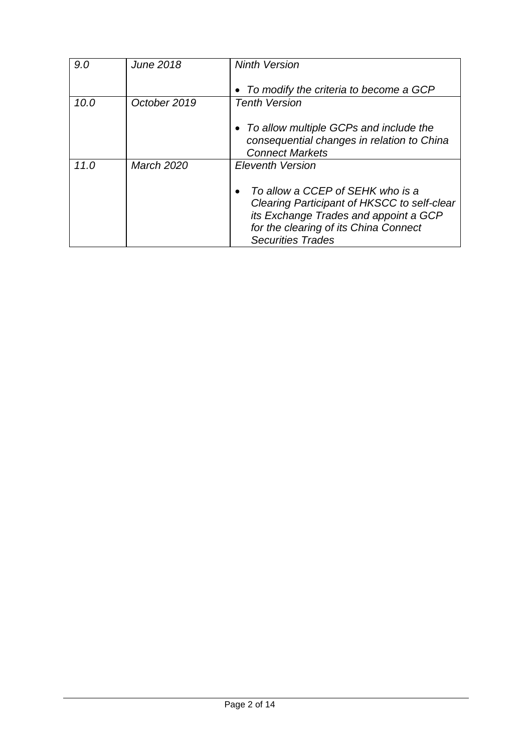| 9.0  | June 2018         | <b>Ninth Version</b>                        |
|------|-------------------|---------------------------------------------|
|      |                   |                                             |
|      |                   |                                             |
|      |                   | • To modify the criteria to become a GCP    |
| 10.0 | October 2019      | <b>Tenth Version</b>                        |
|      |                   |                                             |
|      |                   |                                             |
|      |                   | • To allow multiple GCPs and include the    |
|      |                   |                                             |
|      |                   | consequential changes in relation to China  |
|      |                   | <b>Connect Markets</b>                      |
|      |                   |                                             |
| 11.0 | <b>March 2020</b> | <b>Eleventh Version</b>                     |
|      |                   |                                             |
|      |                   | To allow a CCEP of SEHK who is a            |
|      |                   |                                             |
|      |                   | Clearing Participant of HKSCC to self-clear |
|      |                   | its Exchange Trades and appoint a GCP       |
|      |                   | for the clearing of its China Connect       |
|      |                   |                                             |
|      |                   | <b>Securities Trades</b>                    |
|      |                   |                                             |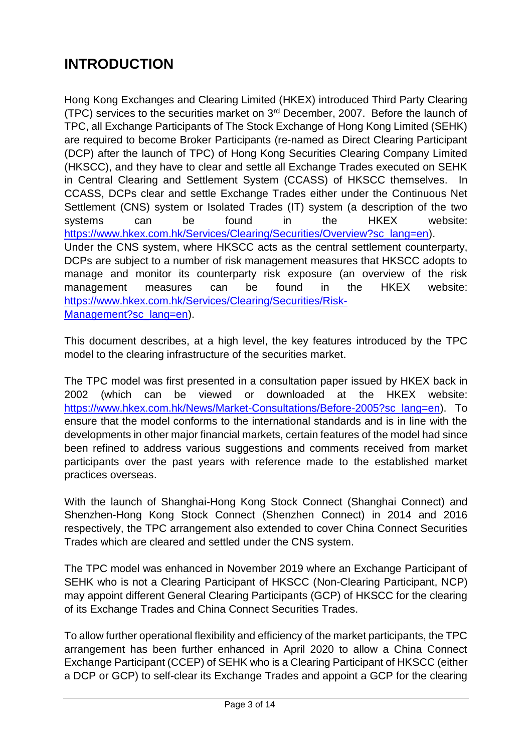## **INTRODUCTION**

Hong Kong Exchanges and Clearing Limited (HKEX) introduced Third Party Clearing (TPC) services to the securities market on 3rd December, 2007. Before the launch of TPC, all Exchange Participants of The Stock Exchange of Hong Kong Limited (SEHK) are required to become Broker Participants (re-named as Direct Clearing Participant (DCP) after the launch of TPC) of Hong Kong Securities Clearing Company Limited (HKSCC), and they have to clear and settle all Exchange Trades executed on SEHK in Central Clearing and Settlement System (CCASS) of HKSCC themselves. In CCASS, DCPs clear and settle Exchange Trades either under the Continuous Net Settlement (CNS) system or Isolated Trades (IT) system (a description of the two systems can be found in the HKEX website: [https://www.hkex.com.hk/Services/Clearing/Securities/Overview?sc\\_lang=en\)](https://www.hkex.com.hk/Services/Clearing/Securities/Overview?sc_lang=en). Under the CNS system, where HKSCC acts as the central settlement counterparty, DCPs are subject to a number of risk management measures that HKSCC adopts to manage and monitor its counterparty risk exposure (an overview of the risk management measures can be found in the HKEX website: [https://www.hkex.com.hk/Services/Clearing/Securities/Risk-](https://www.hkex.com.hk/Services/Clearing/Securities/Risk-Management?sc_lang=en)

[Management?sc\\_lang=en\)](https://www.hkex.com.hk/Services/Clearing/Securities/Risk-Management?sc_lang=en).

This document describes, at a high level, the key features introduced by the TPC model to the clearing infrastructure of the securities market.

The TPC model was first presented in a consultation paper issued by HKEX back in 2002 (which can be viewed or downloaded at the HKEX website: [https://www.hkex.com.hk/News/Market-Consultations/Before-2005?sc\\_lang=en\)](https://www.hkex.com.hk/News/Market-Consultations/Before-2005?sc_lang=en). To ensure that the model conforms to the international standards and is in line with the developments in other major financial markets, certain features of the model had since been refined to address various suggestions and comments received from market participants over the past years with reference made to the established market practices overseas.

With the launch of Shanghai-Hong Kong Stock Connect (Shanghai Connect) and Shenzhen-Hong Kong Stock Connect (Shenzhen Connect) in 2014 and 2016 respectively, the TPC arrangement also extended to cover China Connect Securities Trades which are cleared and settled under the CNS system.

The TPC model was enhanced in November 2019 where an Exchange Participant of SEHK who is not a Clearing Participant of HKSCC (Non-Clearing Participant, NCP) may appoint different General Clearing Participants (GCP) of HKSCC for the clearing of its Exchange Trades and China Connect Securities Trades.

To allow further operational flexibility and efficiency of the market participants, the TPC arrangement has been further enhanced in April 2020 to allow a China Connect Exchange Participant (CCEP) of SEHK who is a Clearing Participant of HKSCC (either a DCP or GCP) to self-clear its Exchange Trades and appoint a GCP for the clearing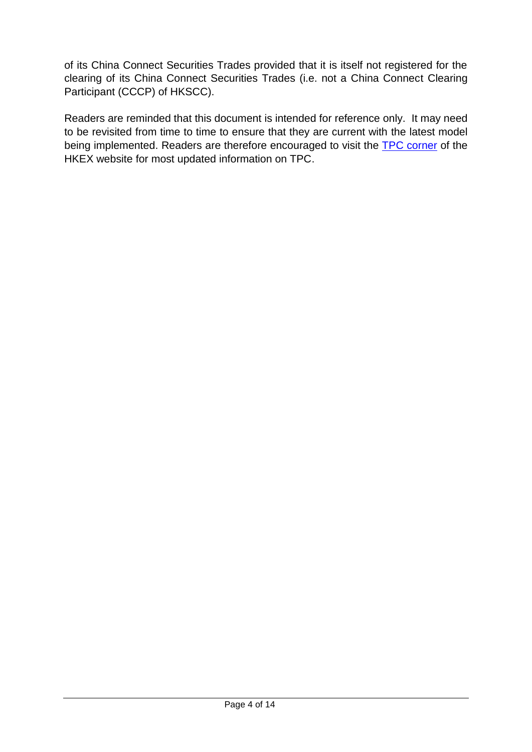of its China Connect Securities Trades provided that it is itself not registered for the clearing of its China Connect Securities Trades (i.e. not a China Connect Clearing Participant (CCCP) of HKSCC).

Readers are reminded that this document is intended for reference only. It may need to be revisited from time to time to ensure that they are current with the latest model being implemented. Readers are therefore encouraged to visit the **TPC** corner of the HKEX website for most updated information on TPC.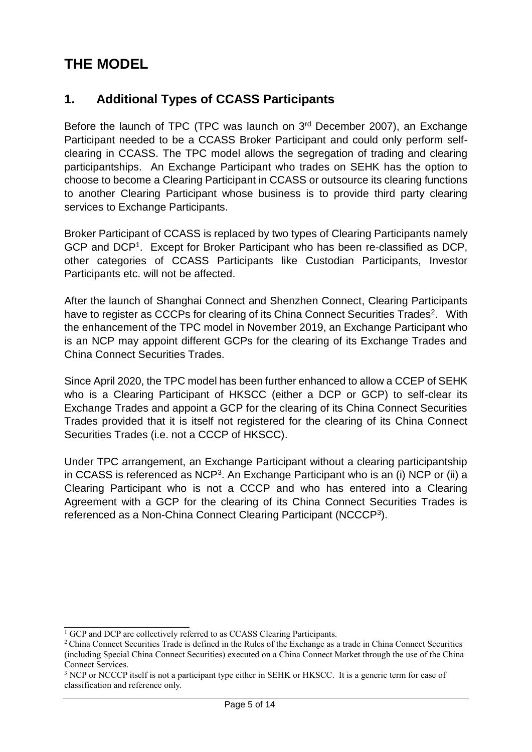## **THE MODEL**

#### **1. Additional Types of CCASS Participants**

Before the launch of TPC (TPC was launch on 3<sup>rd</sup> December 2007), an Exchange Participant needed to be a CCASS Broker Participant and could only perform selfclearing in CCASS. The TPC model allows the segregation of trading and clearing participantships. An Exchange Participant who trades on SEHK has the option to choose to become a Clearing Participant in CCASS or outsource its clearing functions to another Clearing Participant whose business is to provide third party clearing services to Exchange Participants.

Broker Participant of CCASS is replaced by two types of Clearing Participants namely GCP and DCP<sup>1</sup> . Except for Broker Participant who has been re-classified as DCP, other categories of CCASS Participants like Custodian Participants, Investor Participants etc. will not be affected.

After the launch of Shanghai Connect and Shenzhen Connect, Clearing Participants have to register as CCCPs for clearing of its China Connect Securities Trades<sup>2</sup>. With the enhancement of the TPC model in November 2019, an Exchange Participant who is an NCP may appoint different GCPs for the clearing of its Exchange Trades and China Connect Securities Trades.

Since April 2020, the TPC model has been further enhanced to allow a CCEP of SEHK who is a Clearing Participant of HKSCC (either a DCP or GCP) to self-clear its Exchange Trades and appoint a GCP for the clearing of its China Connect Securities Trades provided that it is itself not registered for the clearing of its China Connect Securities Trades (i.e. not a CCCP of HKSCC).

Under TPC arrangement, an Exchange Participant without a clearing participantship in CCASS is referenced as NCP<sup>3</sup>. An Exchange Participant who is an (i) NCP or (ii) a Clearing Participant who is not a CCCP and who has entered into a Clearing Agreement with a GCP for the clearing of its China Connect Securities Trades is referenced as a Non-China Connect Clearing Participant (NCCCP<sup>3</sup>).

\_\_\_\_\_\_\_\_\_\_\_\_\_\_\_\_\_\_\_\_\_

<sup>&</sup>lt;sup>1</sup> GCP and DCP are collectively referred to as CCASS Clearing Participants.

<sup>&</sup>lt;sup>2</sup> China Connect Securities Trade is defined in the Rules of the Exchange as a trade in China Connect Securities (including Special China Connect Securities) executed on a China Connect Market through the use of the China Connect Services.

<sup>&</sup>lt;sup>3</sup> NCP or NCCCP itself is not a participant type either in SEHK or HKSCC. It is a generic term for ease of classification and reference only.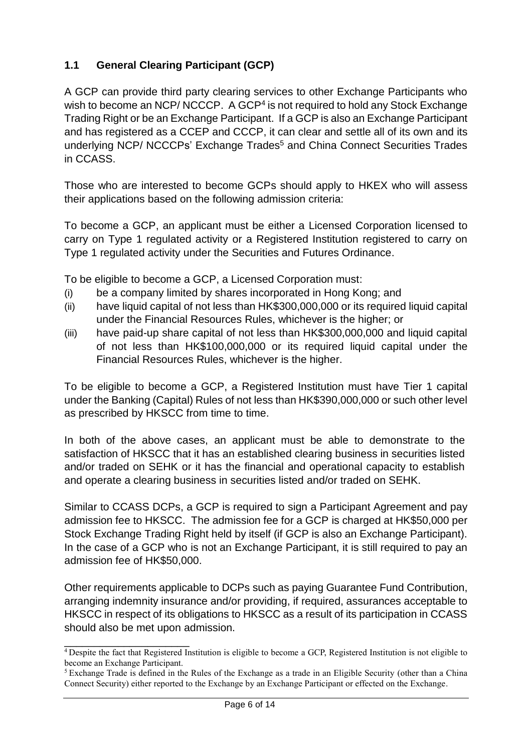#### **1.1 General Clearing Participant (GCP)**

A GCP can provide third party clearing services to other Exchange Participants who wish to become an NCP/ NCCCP. A GCP<sup>4</sup> is not required to hold any Stock Exchange Trading Right or be an Exchange Participant. If a GCP is also an Exchange Participant and has registered as a CCEP and CCCP, it can clear and settle all of its own and its underlying NCP/ NCCCPs' Exchange Trades<sup>5</sup> and China Connect Securities Trades in CCASS.

Those who are interested to become GCPs should apply to HKEX who will assess their applications based on the following admission criteria:

To become a GCP, an applicant must be either a Licensed Corporation licensed to carry on Type 1 regulated activity or a Registered Institution registered to carry on Type 1 regulated activity under the Securities and Futures Ordinance.

To be eligible to become a GCP, a Licensed Corporation must:

- (i) be a company limited by shares incorporated in Hong Kong; and
- (ii) have liquid capital of not less than HK\$300,000,000 or its required liquid capital under the Financial Resources Rules, whichever is the higher; or
- (iii) have paid-up share capital of not less than HK\$300,000,000 and liquid capital of not less than HK\$100,000,000 or its required liquid capital under the Financial Resources Rules, whichever is the higher.

To be eligible to become a GCP, a Registered Institution must have Tier 1 capital under the Banking (Capital) Rules of not less than HK\$390,000,000 or such other level as prescribed by HKSCC from time to time.

In both of the above cases, an applicant must be able to demonstrate to the satisfaction of HKSCC that it has an established clearing business in securities listed and/or traded on SEHK or it has the financial and operational capacity to establish and operate a clearing business in securities listed and/or traded on SEHK.

Similar to CCASS DCPs, a GCP is required to sign a Participant Agreement and pay admission fee to HKSCC. The admission fee for a GCP is charged at HK\$50,000 per Stock Exchange Trading Right held by itself (if GCP is also an Exchange Participant). In the case of a GCP who is not an Exchange Participant, it is still required to pay an admission fee of HK\$50,000.

Other requirements applicable to DCPs such as paying Guarantee Fund Contribution, arranging indemnity insurance and/or providing, if required, assurances acceptable to HKSCC in respect of its obligations to HKSCC as a result of its participation in CCASS should also be met upon admission.

\_\_\_\_\_\_\_\_\_\_\_\_\_\_\_\_\_\_\_\_\_

<sup>4</sup> Despite the fact that Registered Institution is eligible to become a GCP, Registered Institution is not eligible to become an Exchange Participant.

<sup>5</sup>Exchange Trade is defined in the Rules of the Exchange as a trade in an Eligible Security (other than a China Connect Security) either reported to the Exchange by an Exchange Participant or effected on the Exchange.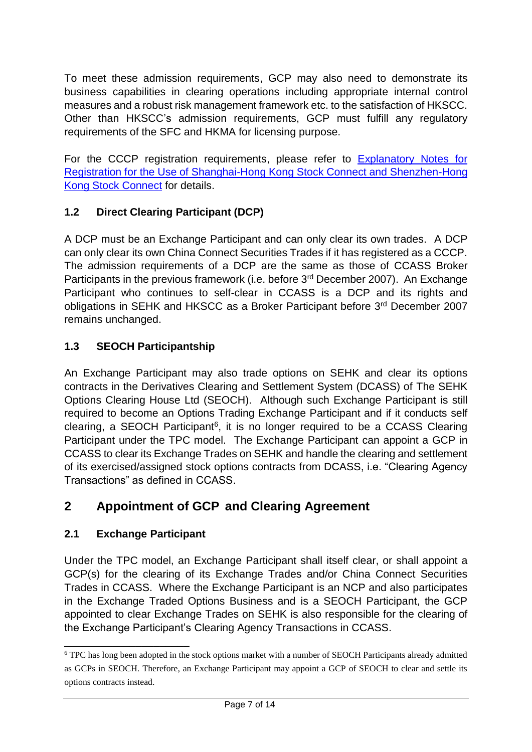To meet these admission requirements, GCP may also need to demonstrate its business capabilities in clearing operations including appropriate internal control measures and a robust risk management framework etc. to the satisfaction of HKSCC. Other than HKSCC's admission requirements, GCP must fulfill any regulatory requirements of the SFC and HKMA for licensing purpose.

For the CCCP registration requirements, please refer to **Explanatory Notes for** [Registration for the Use of Shanghai-Hong Kong Stock Connect and Shenzhen-Hong](http://www.hkex.com.hk/-/media/HKEX-Market/Services/Rules-and-Forms-and-Fees/Forms/Securities-(Stock-Connect)/Clearing/Participantship-Membership/Participant-Member-Admission/Registration_Form_EN.pdf?la=en)  [Kong Stock Connect](http://www.hkex.com.hk/-/media/HKEX-Market/Services/Rules-and-Forms-and-Fees/Forms/Securities-(Stock-Connect)/Clearing/Participantship-Membership/Participant-Member-Admission/Registration_Form_EN.pdf?la=en) for details.

#### **1.2 Direct Clearing Participant (DCP)**

A DCP must be an Exchange Participant and can only clear its own trades. A DCP can only clear its own China Connect Securities Trades if it has registered as a CCCP. The admission requirements of a DCP are the same as those of CCASS Broker Participants in the previous framework (i.e. before 3<sup>rd</sup> December 2007). An Exchange Participant who continues to self-clear in CCASS is a DCP and its rights and obligations in SEHK and HKSCC as a Broker Participant before 3rd December 2007 remains unchanged.

#### **1.3 SEOCH Participantship**

An Exchange Participant may also trade options on SEHK and clear its options contracts in the Derivatives Clearing and Settlement System (DCASS) of The SEHK Options Clearing House Ltd (SEOCH). Although such Exchange Participant is still required to become an Options Trading Exchange Participant and if it conducts self clearing, a SEOCH Participant<sup>6</sup>, it is no longer required to be a CCASS Clearing Participant under the TPC model. The Exchange Participant can appoint a GCP in CCASS to clear its Exchange Trades on SEHK and handle the clearing and settlement of its exercised/assigned stock options contracts from DCASS, i.e. "Clearing Agency Transactions" as defined in CCASS.

### **2 Appointment of GCP and Clearing Agreement**

#### **2.1 Exchange Participant**

\_\_\_\_\_\_\_\_\_\_\_\_\_\_\_\_\_\_\_\_\_

Under the TPC model, an Exchange Participant shall itself clear, or shall appoint a GCP(s) for the clearing of its Exchange Trades and/or China Connect Securities Trades in CCASS. Where the Exchange Participant is an NCP and also participates in the Exchange Traded Options Business and is a SEOCH Participant, the GCP appointed to clear Exchange Trades on SEHK is also responsible for the clearing of the Exchange Participant's Clearing Agency Transactions in CCASS.

<sup>6</sup> TPC has long been adopted in the stock options market with a number of SEOCH Participants already admitted as GCPs in SEOCH. Therefore, an Exchange Participant may appoint a GCP of SEOCH to clear and settle its options contracts instead.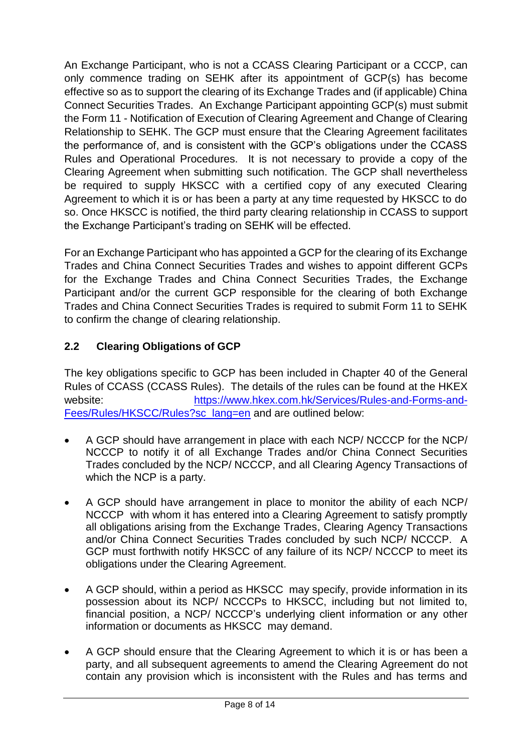An Exchange Participant, who is not a CCASS Clearing Participant or a CCCP, can only commence trading on SEHK after its appointment of GCP(s) has become effective so as to support the clearing of its Exchange Trades and (if applicable) China Connect Securities Trades. An Exchange Participant appointing GCP(s) must submit the Form 11 - Notification of Execution of Clearing Agreement and Change of Clearing Relationship to SEHK. The GCP must ensure that the Clearing Agreement facilitates the performance of, and is consistent with the GCP's obligations under the CCASS Rules and Operational Procedures. It is not necessary to provide a copy of the Clearing Agreement when submitting such notification. The GCP shall nevertheless be required to supply HKSCC with a certified copy of any executed Clearing Agreement to which it is or has been a party at any time requested by HKSCC to do so. Once HKSCC is notified, the third party clearing relationship in CCASS to support the Exchange Participant's trading on SEHK will be effected.

For an Exchange Participant who has appointed a GCP for the clearing of its Exchange Trades and China Connect Securities Trades and wishes to appoint different GCPs for the Exchange Trades and China Connect Securities Trades, the Exchange Participant and/or the current GCP responsible for the clearing of both Exchange Trades and China Connect Securities Trades is required to submit Form 11 to SEHK to confirm the change of clearing relationship.

#### **2.2 Clearing Obligations of GCP**

The key obligations specific to GCP has been included in Chapter 40 of the General Rules of CCASS (CCASS Rules). The details of the rules can be found at the HKEX website: [https://www.hkex.com.hk/Services/Rules-and-Forms-and-](https://www.hkex.com.hk/Services/Rules-and-Forms-and-Fees/Rules/HKSCC/Rules?sc_lang=en)[Fees/Rules/HKSCC/Rules?sc\\_lang=en](https://www.hkex.com.hk/Services/Rules-and-Forms-and-Fees/Rules/HKSCC/Rules?sc_lang=en) and are outlined below:

- A GCP should have arrangement in place with each NCP/ NCCCP for the NCP/ NCCCP to notify it of all Exchange Trades and/or China Connect Securities Trades concluded by the NCP/ NCCCP, and all Clearing Agency Transactions of which the NCP is a party.
- A GCP should have arrangement in place to monitor the ability of each NCP/ NCCCP with whom it has entered into a Clearing Agreement to satisfy promptly all obligations arising from the Exchange Trades, Clearing Agency Transactions and/or China Connect Securities Trades concluded by such NCP/ NCCCP. A GCP must forthwith notify HKSCC of any failure of its NCP/ NCCCP to meet its obligations under the Clearing Agreement.
- A GCP should, within a period as HKSCC may specify, provide information in its possession about its NCP/ NCCCPs to HKSCC, including but not limited to, financial position, a NCP/ NCCCP's underlying client information or any other information or documents as HKSCC may demand.
- A GCP should ensure that the Clearing Agreement to which it is or has been a party, and all subsequent agreements to amend the Clearing Agreement do not contain any provision which is inconsistent with the Rules and has terms and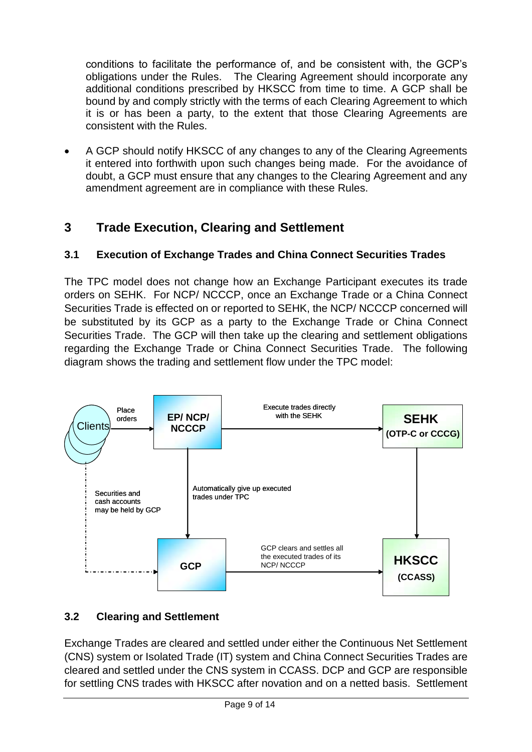conditions to facilitate the performance of, and be consistent with, the GCP's obligations under the Rules. The Clearing Agreement should incorporate any additional conditions prescribed by HKSCC from time to time. A GCP shall be bound by and comply strictly with the terms of each Clearing Agreement to which it is or has been a party, to the extent that those Clearing Agreements are consistent with the Rules.

 A GCP should notify HKSCC of any changes to any of the Clearing Agreements it entered into forthwith upon such changes being made. For the avoidance of doubt, a GCP must ensure that any changes to the Clearing Agreement and any amendment agreement are in compliance with these Rules.

## **3 Trade Execution, Clearing and Settlement**

#### **3.1 Execution of Exchange Trades and China Connect Securities Trades**

The TPC model does not change how an Exchange Participant executes its trade orders on SEHK. For NCP/ NCCCP, once an Exchange Trade or a China Connect Securities Trade is effected on or reported to SEHK, the NCP/ NCCCP concerned will be substituted by its GCP as a party to the Exchange Trade or China Connect Securities Trade. The GCP will then take up the clearing and settlement obligations regarding the Exchange Trade or China Connect Securities Trade. The following diagram shows the trading and settlement flow under the TPC model:



#### **3.2 Clearing and Settlement**

Exchange Trades are cleared and settled under either the Continuous Net Settlement (CNS) system or Isolated Trade (IT) system and China Connect Securities Trades are cleared and settled under the CNS system in CCASS. DCP and GCP are responsible for settling CNS trades with HKSCC after novation and on a netted basis. Settlement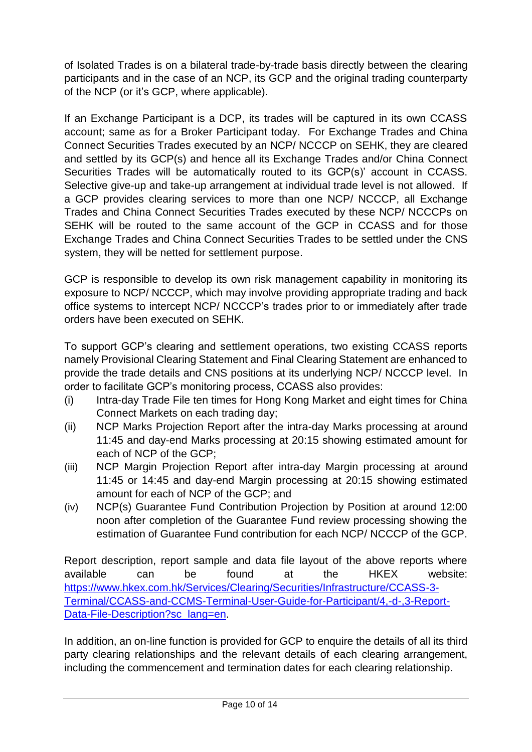of Isolated Trades is on a bilateral trade-by-trade basis directly between the clearing participants and in the case of an NCP, its GCP and the original trading counterparty of the NCP (or it's GCP, where applicable).

If an Exchange Participant is a DCP, its trades will be captured in its own CCASS account; same as for a Broker Participant today. For Exchange Trades and China Connect Securities Trades executed by an NCP/ NCCCP on SEHK, they are cleared and settled by its GCP(s) and hence all its Exchange Trades and/or China Connect Securities Trades will be automatically routed to its GCP(s)' account in CCASS. Selective give-up and take-up arrangement at individual trade level is not allowed. If a GCP provides clearing services to more than one NCP/ NCCCP, all Exchange Trades and China Connect Securities Trades executed by these NCP/ NCCCPs on SEHK will be routed to the same account of the GCP in CCASS and for those Exchange Trades and China Connect Securities Trades to be settled under the CNS system, they will be netted for settlement purpose.

GCP is responsible to develop its own risk management capability in monitoring its exposure to NCP/ NCCCP, which may involve providing appropriate trading and back office systems to intercept NCP/ NCCCP's trades prior to or immediately after trade orders have been executed on SEHK.

To support GCP's clearing and settlement operations, two existing CCASS reports namely Provisional Clearing Statement and Final Clearing Statement are enhanced to provide the trade details and CNS positions at its underlying NCP/ NCCCP level. In order to facilitate GCP's monitoring process, CCASS also provides:

- (i) Intra-day Trade File ten times for Hong Kong Market and eight times for China Connect Markets on each trading day;
- (ii) NCP Marks Projection Report after the intra-day Marks processing at around 11:45 and day-end Marks processing at 20:15 showing estimated amount for each of NCP of the GCP;
- (iii) NCP Margin Projection Report after intra-day Margin processing at around 11:45 or 14:45 and day-end Margin processing at 20:15 showing estimated amount for each of NCP of the GCP; and
- (iv) NCP(s) Guarantee Fund Contribution Projection by Position at around 12:00 noon after completion of the Guarantee Fund review processing showing the estimation of Guarantee Fund contribution for each NCP/ NCCCP of the GCP.

Report description, report sample and data file layout of the above reports where available can be found at the HKEX website: [https://www.hkex.com.hk/Services/Clearing/Securities/Infrastructure/CCASS-3-](https://www.hkex.com.hk/Services/Clearing/Securities/Infrastructure/CCASS-3-Terminal/CCASS-and-CCMS-Terminal-User-Guide-for-Participant/4,-d-,3-Report-Data-File-Description?sc_lang=en) [Terminal/CCASS-and-CCMS-Terminal-User-Guide-for-Participant/4,-d-,3-Report-](https://www.hkex.com.hk/Services/Clearing/Securities/Infrastructure/CCASS-3-Terminal/CCASS-and-CCMS-Terminal-User-Guide-for-Participant/4,-d-,3-Report-Data-File-Description?sc_lang=en)[Data-File-Description?sc\\_lang=en.](https://www.hkex.com.hk/Services/Clearing/Securities/Infrastructure/CCASS-3-Terminal/CCASS-and-CCMS-Terminal-User-Guide-for-Participant/4,-d-,3-Report-Data-File-Description?sc_lang=en)

In addition, an on-line function is provided for GCP to enquire the details of all its third party clearing relationships and the relevant details of each clearing arrangement, including the commencement and termination dates for each clearing relationship.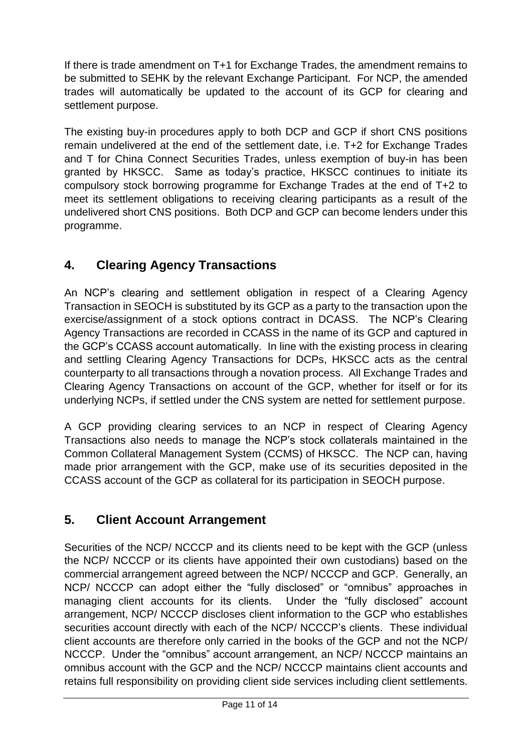If there is trade amendment on T+1 for Exchange Trades, the amendment remains to be submitted to SEHK by the relevant Exchange Participant. For NCP, the amended trades will automatically be updated to the account of its GCP for clearing and settlement purpose.

The existing buy-in procedures apply to both DCP and GCP if short CNS positions remain undelivered at the end of the settlement date, i.e. T+2 for Exchange Trades and T for China Connect Securities Trades, unless exemption of buy-in has been granted by HKSCC. Same as today's practice, HKSCC continues to initiate its compulsory stock borrowing programme for Exchange Trades at the end of T+2 to meet its settlement obligations to receiving clearing participants as a result of the undelivered short CNS positions. Both DCP and GCP can become lenders under this programme.

## **4. Clearing Agency Transactions**

An NCP's clearing and settlement obligation in respect of a Clearing Agency Transaction in SEOCH is substituted by its GCP as a party to the transaction upon the exercise/assignment of a stock options contract in DCASS. The NCP's Clearing Agency Transactions are recorded in CCASS in the name of its GCP and captured in the GCP's CCASS account automatically. In line with the existing process in clearing and settling Clearing Agency Transactions for DCPs, HKSCC acts as the central counterparty to all transactions through a novation process. All Exchange Trades and Clearing Agency Transactions on account of the GCP, whether for itself or for its underlying NCPs, if settled under the CNS system are netted for settlement purpose.

A GCP providing clearing services to an NCP in respect of Clearing Agency Transactions also needs to manage the NCP's stock collaterals maintained in the Common Collateral Management System (CCMS) of HKSCC. The NCP can, having made prior arrangement with the GCP, make use of its securities deposited in the CCASS account of the GCP as collateral for its participation in SEOCH purpose.

## **5. Client Account Arrangement**

Securities of the NCP/ NCCCP and its clients need to be kept with the GCP (unless the NCP/ NCCCP or its clients have appointed their own custodians) based on the commercial arrangement agreed between the NCP/ NCCCP and GCP. Generally, an NCP/ NCCCP can adopt either the "fully disclosed" or "omnibus" approaches in managing client accounts for its clients. Under the "fully disclosed" account arrangement, NCP/ NCCCP discloses client information to the GCP who establishes securities account directly with each of the NCP/ NCCCP's clients. These individual client accounts are therefore only carried in the books of the GCP and not the NCP/ NCCCP. Under the "omnibus" account arrangement, an NCP/ NCCCP maintains an omnibus account with the GCP and the NCP/ NCCCP maintains client accounts and retains full responsibility on providing client side services including client settlements.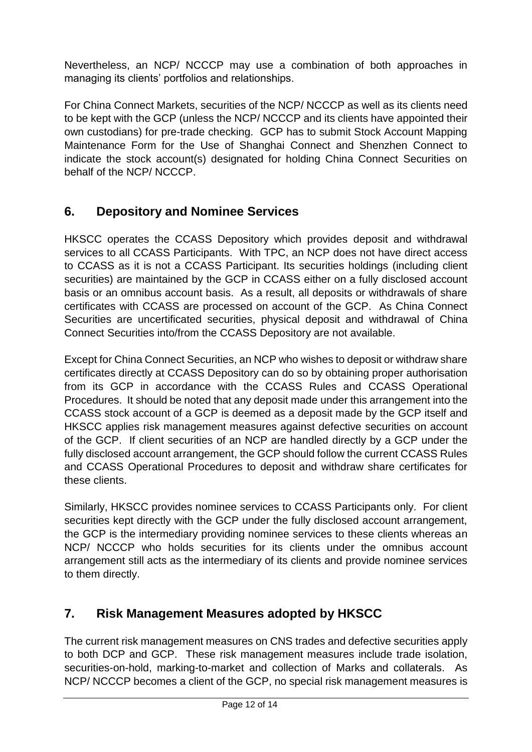Nevertheless, an NCP/ NCCCP may use a combination of both approaches in managing its clients' portfolios and relationships.

For China Connect Markets, securities of the NCP/ NCCCP as well as its clients need to be kept with the GCP (unless the NCP/ NCCCP and its clients have appointed their own custodians) for pre-trade checking. GCP has to submit Stock Account Mapping Maintenance Form for the Use of Shanghai Connect and Shenzhen Connect to indicate the stock account(s) designated for holding China Connect Securities on behalf of the NCP/ NCCCP.

### **6. Depository and Nominee Services**

HKSCC operates the CCASS Depository which provides deposit and withdrawal services to all CCASS Participants. With TPC, an NCP does not have direct access to CCASS as it is not a CCASS Participant. Its securities holdings (including client securities) are maintained by the GCP in CCASS either on a fully disclosed account basis or an omnibus account basis. As a result, all deposits or withdrawals of share certificates with CCASS are processed on account of the GCP. As China Connect Securities are uncertificated securities, physical deposit and withdrawal of China Connect Securities into/from the CCASS Depository are not available.

Except for China Connect Securities, an NCP who wishes to deposit or withdraw share certificates directly at CCASS Depository can do so by obtaining proper authorisation from its GCP in accordance with the CCASS Rules and CCASS Operational Procedures. It should be noted that any deposit made under this arrangement into the CCASS stock account of a GCP is deemed as a deposit made by the GCP itself and HKSCC applies risk management measures against defective securities on account of the GCP. If client securities of an NCP are handled directly by a GCP under the fully disclosed account arrangement, the GCP should follow the current CCASS Rules and CCASS Operational Procedures to deposit and withdraw share certificates for these clients.

Similarly, HKSCC provides nominee services to CCASS Participants only. For client securities kept directly with the GCP under the fully disclosed account arrangement, the GCP is the intermediary providing nominee services to these clients whereas an NCP/ NCCCP who holds securities for its clients under the omnibus account arrangement still acts as the intermediary of its clients and provide nominee services to them directly.

## **7. Risk Management Measures adopted by HKSCC**

The current risk management measures on CNS trades and defective securities apply to both DCP and GCP. These risk management measures include trade isolation, securities-on-hold, marking-to-market and collection of Marks and collaterals. As NCP/ NCCCP becomes a client of the GCP, no special risk management measures is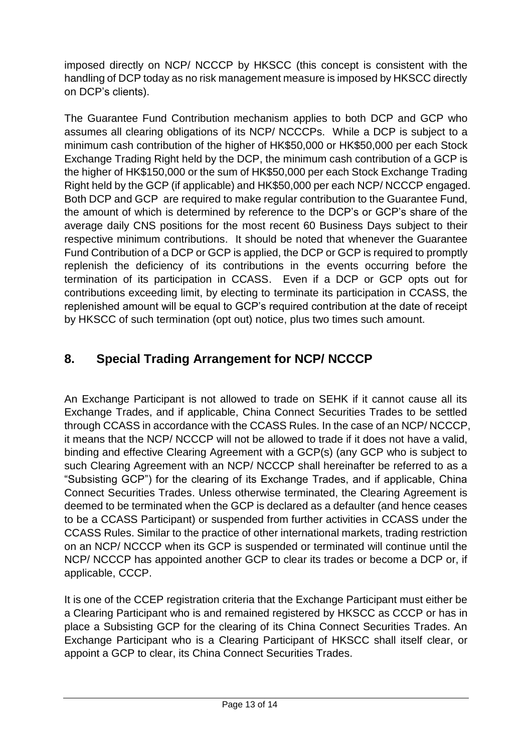imposed directly on NCP/ NCCCP by HKSCC (this concept is consistent with the handling of DCP today as no risk management measure is imposed by HKSCC directly on DCP's clients).

The Guarantee Fund Contribution mechanism applies to both DCP and GCP who assumes all clearing obligations of its NCP/ NCCCPs. While a DCP is subject to a minimum cash contribution of the higher of HK\$50,000 or HK\$50,000 per each Stock Exchange Trading Right held by the DCP, the minimum cash contribution of a GCP is the higher of HK\$150,000 or the sum of HK\$50,000 per each Stock Exchange Trading Right held by the GCP (if applicable) and HK\$50,000 per each NCP/ NCCCP engaged. Both DCP and GCP are required to make regular contribution to the Guarantee Fund, the amount of which is determined by reference to the DCP's or GCP's share of the average daily CNS positions for the most recent 60 Business Days subject to their respective minimum contributions. It should be noted that whenever the Guarantee Fund Contribution of a DCP or GCP is applied, the DCP or GCP is required to promptly replenish the deficiency of its contributions in the events occurring before the termination of its participation in CCASS. Even if a DCP or GCP opts out for contributions exceeding limit, by electing to terminate its participation in CCASS, the replenished amount will be equal to GCP's required contribution at the date of receipt by HKSCC of such termination (opt out) notice, plus two times such amount.

## **8. Special Trading Arrangement for NCP/ NCCCP**

An Exchange Participant is not allowed to trade on SEHK if it cannot cause all its Exchange Trades, and if applicable, China Connect Securities Trades to be settled through CCASS in accordance with the CCASS Rules. In the case of an NCP/ NCCCP, it means that the NCP/ NCCCP will not be allowed to trade if it does not have a valid, binding and effective Clearing Agreement with a GCP(s) (any GCP who is subject to such Clearing Agreement with an NCP/ NCCCP shall hereinafter be referred to as a "Subsisting GCP") for the clearing of its Exchange Trades, and if applicable, China Connect Securities Trades. Unless otherwise terminated, the Clearing Agreement is deemed to be terminated when the GCP is declared as a defaulter (and hence ceases to be a CCASS Participant) or suspended from further activities in CCASS under the CCASS Rules. Similar to the practice of other international markets, trading restriction on an NCP/ NCCCP when its GCP is suspended or terminated will continue until the NCP/ NCCCP has appointed another GCP to clear its trades or become a DCP or, if applicable, CCCP.

It is one of the CCEP registration criteria that the Exchange Participant must either be a Clearing Participant who is and remained registered by HKSCC as CCCP or has in place a Subsisting GCP for the clearing of its China Connect Securities Trades. An Exchange Participant who is a Clearing Participant of HKSCC shall itself clear, or appoint a GCP to clear, its China Connect Securities Trades.